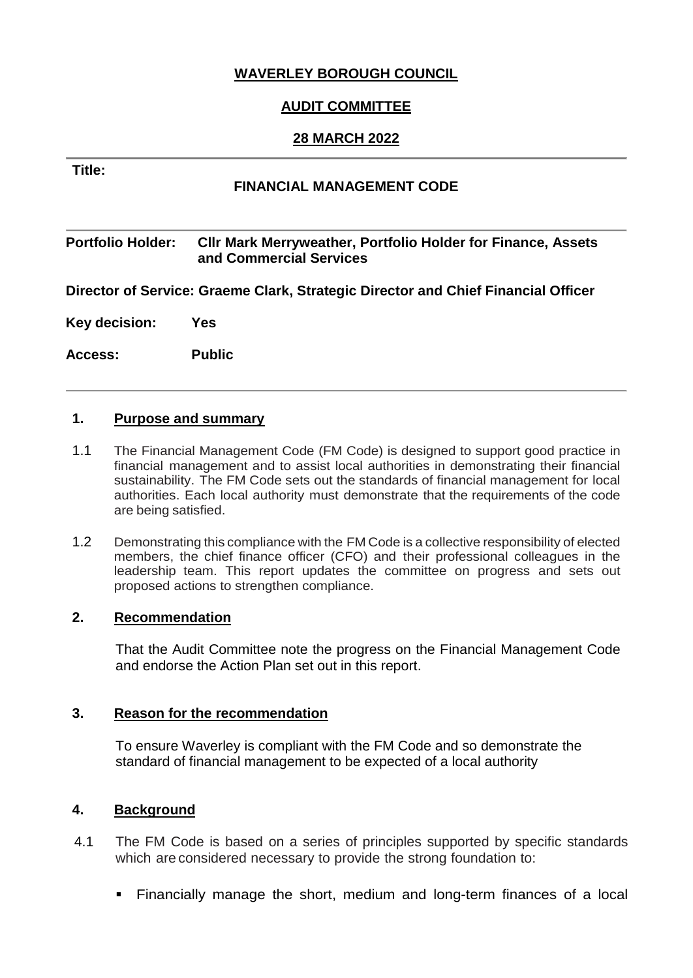## **WAVERLEY BOROUGH COUNCIL**

## **AUDIT COMMITTEE**

### **28 MARCH 2022**

#### **Title:**

### **FINANCIAL MANAGEMENT CODE**

#### **Portfolio Holder: Cllr Mark Merryweather, Portfolio Holder for Finance, Assets and Commercial Services**

**Director of Service: Graeme Clark, Strategic Director and Chief Financial Officer** 

**Key decision: Yes** 

**Access: Public**

#### **1. Purpose and summary**

- 1.1 The Financial Management Code (FM Code) is designed to support good practice in financial management and to assist local authorities in demonstrating their financial sustainability. The FM Code sets out the standards of financial management for local authorities. Each local authority must demonstrate that the requirements of the code are being satisfied.
- 1.2 Demonstrating this compliance with the FM Code is a collective responsibility of elected members, the chief finance officer (CFO) and their professional colleagues in the leadership team. This report updates the committee on progress and sets out proposed actions to strengthen compliance.

#### **2. Recommendation**

That the Audit Committee note the progress on the Financial Management Code and endorse the Action Plan set out in this report.

### **3. Reason for the recommendation**

To ensure Waverley is compliant with the FM Code and so demonstrate the standard of financial management to be expected of a local authority

### **4. Background**

- 4.1 The FM Code is based on a series of principles supported by specific standards which are considered necessary to provide the strong foundation to:
	- Financially manage the short, medium and long-term finances of a local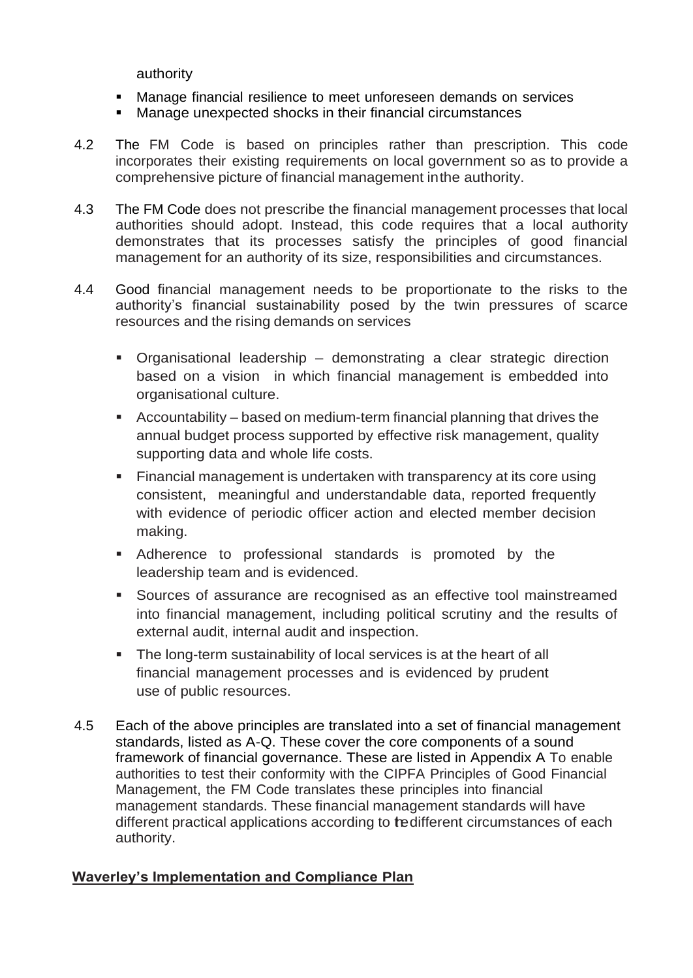authority

- Manage financial resilience to meet unforeseen demands on services
- Manage unexpected shocks in their financial circumstances
- 4.2 The FM Code is based on principles rather than prescription. This code incorporates their existing requirements on local government so as to provide a comprehensive picture of financial management inthe authority.
- 4.3 The FM Code does not prescribe the financial management processes that local authorities should adopt. Instead, this code requires that a local authority demonstrates that its processes satisfy the principles of good financial management for an authority of its size, responsibilities and circumstances.
- 4.4 Good financial management needs to be proportionate to the risks to the authority's financial sustainability posed by the twin pressures of scarce resources and the rising demands on services
	- Organisational leadership demonstrating a clear strategic direction based on a vision in which financial management is embedded into organisational culture.
	- Accountability based on medium-term financial planning that drives the annual budget process supported by effective risk management, quality supporting data and whole life costs.
	- Financial management is undertaken with transparency at its core using consistent, meaningful and understandable data, reported frequently with evidence of periodic officer action and elected member decision making.
	- Adherence to professional standards is promoted by the leadership team and is evidenced.
	- Sources of assurance are recognised as an effective tool mainstreamed into financial management, including political scrutiny and the results of external audit, internal audit and inspection.
	- The long-term sustainability of local services is at the heart of all financial management processes and is evidenced by prudent use of public resources.
- 4.5 Each of the above principles are translated into a set of financial management standards, listed as A-Q. These cover the core components of a sound framework of financial governance. These are listed in Appendix A To enable authorities to test their conformity with the CIPFA Principles of Good Financial Management, the FM Code translates these principles into financial management standards. These financial management standards will have different practical applications according to redifferent circumstances of each authority.

## **Waverley's Implementation and Compliance Plan**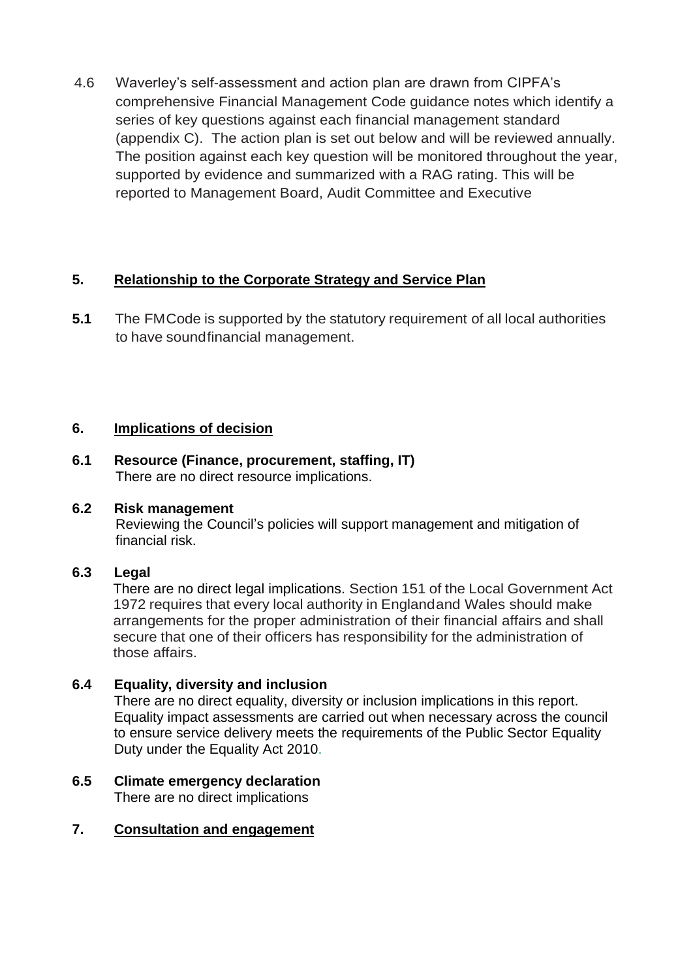4.6 Waverley's self-assessment and action plan are drawn from CIPFA's comprehensive Financial Management Code guidance notes which identify a series of key questions against each financial management standard (appendix C). The action plan is set out below and will be reviewed annually. The position against each key question will be monitored throughout the year, supported by evidence and summarized with a RAG rating. This will be reported to Management Board, Audit Committee and Executive

# **5. Relationship to the Corporate Strategy and Service Plan**

**5.1** The FMCode is supported by the statutory requirement of all local authorities to have soundfinancial management.

# **6. Implications of decision**

**6.1 Resource (Finance, procurement, staffing, IT)** There are no direct resource implications.

## **6.2 Risk management**

Reviewing the Council's policies will support management and mitigation of financial risk.

# **6.3 Legal**

There are no direct legal implications. Section 151 of the Local Government Act 1972 requires that every local authority in Englandand Wales should make arrangements for the proper administration of their financial affairs and shall secure that one of their officers has responsibility for the administration of those affairs.

## **6.4 Equality, diversity and inclusion**

There are no direct equality, diversity or inclusion implications in this report. Equality impact assessments are carried out when necessary across the council to ensure service delivery meets the requirements of the Public Sector Equality Duty under the Equality Act 2010.

### **6.5 Climate emergency declaration** There are no direct implications

## **7. Consultation and engagement**